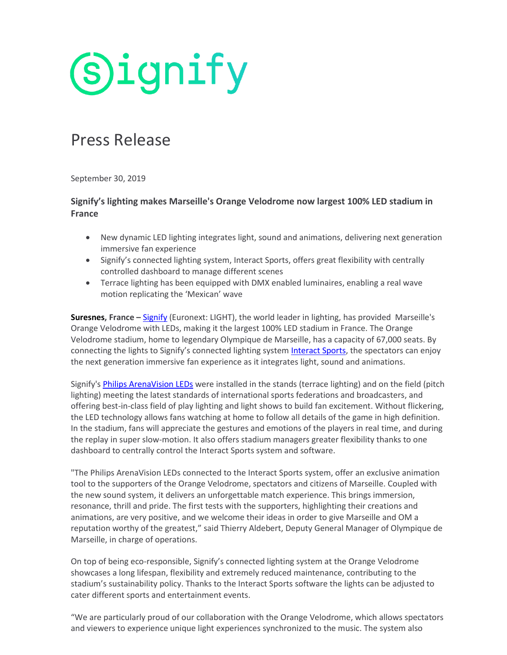**Signify** 

# Press Release

September 30, 2019

# **Signify's lighting makes Marseille's Orange Velodrome now largest 100% LED stadium in France**

- New dynamic LED lighting integrates light, sound and animations, delivering next generation immersive fan experience
- Signify's connected lighting system, Interact Sports, offers great flexibility with centrally controlled dashboard to manage different scenes
- Terrace lighting has been equipped with DMX enabled luminaires, enabling a real wave motion replicating the 'Mexican' wave

**Suresnes, France –** [Signify](http://www.signify.com/) (Euronext: LIGHT), the world leader in lighting, has provided Marseille's Orange Velodrome with LEDs, making it the largest 100% LED stadium in France. The Orange Velodrome stadium, home to legendary Olympique de Marseille, has a capacity of 67,000 seats. By connecting the lights to Signify's connected lighting syste[m Interact Sports,](https://www.interact-lighting.com/global/what-is-possible/interact-sports) the spectators can enjoy the next generation immersive fan experience as it integrates light, sound and animations.

Signify's [Philips ArenaVision LEDs](https://www.lighting.philips.com/main/prof/outdoor-luminaires/sports-and-area-floodlighting/high-end-sports-floodlighting/arenavision-led-gen3) were installed in the stands (terrace lighting) and on the field (pitch lighting) meeting the latest standards of international sports federations and broadcasters, and offering best-in-class field of play lighting and light shows to build fan excitement. Without flickering, the LED technology allows fans watching at home to follow all details of the game in high definition. In the stadium, fans will appreciate the gestures and emotions of the players in real time, and during the replay in super slow-motion. It also offers stadium managers greater flexibility thanks to one dashboard to centrally control the Interact Sports system and software.

"The Philips ArenaVision LEDs connected to the Interact Sports system, offer an exclusive animation tool to the supporters of the Orange Velodrome, spectators and citizens of Marseille. Coupled with the new sound system, it delivers an unforgettable match experience. This brings immersion, resonance, thrill and pride. The first tests with the supporters, highlighting their creations and animations, are very positive, and we welcome their ideas in order to give Marseille and OM a reputation worthy of the greatest," said Thierry Aldebert, Deputy General Manager of Olympique de Marseille, in charge of operations.

On top of being eco-responsible, Signify's connected lighting system at the Orange Velodrome showcases a long lifespan, flexibility and extremely reduced maintenance, contributing to the stadium's sustainability policy. Thanks to the Interact Sports software the lights can be adjusted to cater different sports and entertainment events.

"We are particularly proud of our collaboration with the Orange Velodrome, which allows spectators and viewers to experience unique light experiences synchronized to the music. The system also